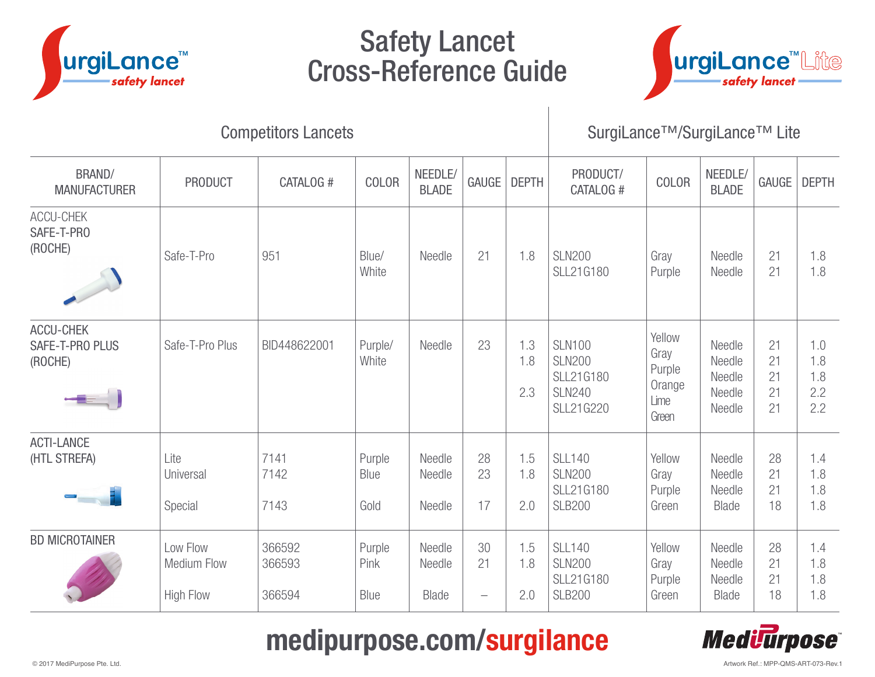

## **Mance™** Mancet Safety Lancet **Constanting Contract** Safety Lance Cuide and Constant Construction of the Safety Lance Cuide and Construction Construction Construction Construction Construction Construction Construction Co Cross-Reference Guide



Competitors Lancets Competitors Lancets SurgiLance™/SurgiLance™ Lite

| BRAND/<br><b>MANUFACTURER</b>                  | <b>PRODUCT</b>                                     | CATALOG #                  | <b>COLOR</b>           | NEEDLE/<br><b>BLADE</b>          | GAUGE                                | <b>DEPTH</b>      | PRODUCT/<br>CATALOG #                                                     | <b>COLOR</b>                                        | NEEDLE/<br><b>BLADE</b>                        | GAUGE                      | <b>DEPTH</b>                    |
|------------------------------------------------|----------------------------------------------------|----------------------------|------------------------|----------------------------------|--------------------------------------|-------------------|---------------------------------------------------------------------------|-----------------------------------------------------|------------------------------------------------|----------------------------|---------------------------------|
| <b>ACCU-CHEK</b><br>SAFE-T-PRO<br>(ROCHE)      | Safe-T-Pro                                         | 951                        | Blue/<br>White         | Needle                           | 21                                   | 1.8               | <b>SLN200</b><br>SLL21G180                                                | Gray<br>Purple                                      | Needle<br>Needle                               | 21<br>21                   | 1.8<br>1.8                      |
| <b>ACCU-CHEK</b><br>SAFE-T-PRO PLUS<br>(ROCHE) | Safe-T-Pro Plus                                    | BID448622001               | Purple/<br>White       | Needle                           | 23                                   | 1.3<br>1.8<br>2.3 | <b>SLN100</b><br><b>SLN200</b><br>SLL21G180<br><b>SLN240</b><br>SLL21G220 | Yellow<br>Gray<br>Purple<br>Orange<br>Lime<br>Green | Needle<br>Needle<br>Needle<br>Needle<br>Needle | 21<br>21<br>21<br>21<br>21 | 1.0<br>1.8<br>1.8<br>2.2<br>2.2 |
| <b>ACTI-LANCE</b><br>(HTL STREFA)              | Lite<br>Universal<br>Special                       | 7141<br>7142<br>7143       | Purple<br>Blue<br>Gold | Needle<br>Needle<br>Needle       | 28<br>23<br>17                       | 1.5<br>1.8<br>2.0 | <b>SLL140</b><br><b>SLN200</b><br>SLL21G180<br><b>SLB200</b>              | Yellow<br>Gray<br>Purple<br>Green                   | Needle<br>Needle<br>Needle<br><b>Blade</b>     | 28<br>21<br>21<br>18       | 1.4<br>1.8<br>1.8<br>1.8        |
| <b>BD MICROTAINER</b>                          | Low Flow<br><b>Medium Flow</b><br><b>High Flow</b> | 366592<br>366593<br>366594 | Purple<br>Pink<br>Blue | Needle<br>Needle<br><b>Blade</b> | 30<br>21<br>$\overline{\phantom{0}}$ | 1.5<br>1.8<br>2.0 | <b>SLL140</b><br><b>SLN200</b><br>SLL21G180<br><b>SLB200</b>              | Yellow<br>Gray<br>Purple<br>Green                   | Needle<br>Needle<br>Needle<br>Blade            | 28<br>21<br>21<br>18       | 1.4<br>1.8<br>1.8<br>1.8        |

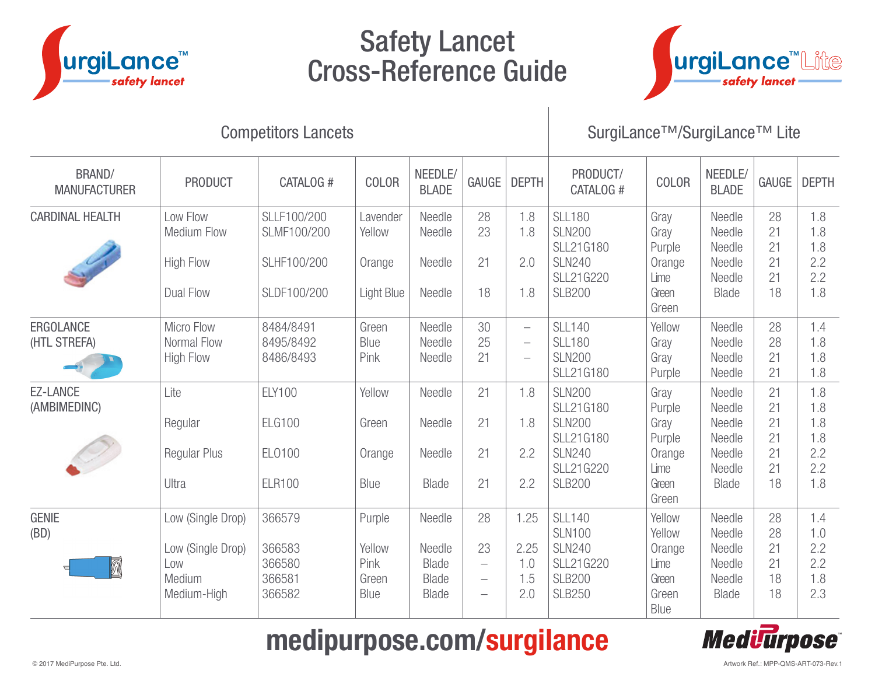

## **Example in the Safety Lancet**<br> **Lance™ Management Cross-Reference Cuide Management Cross-Reference Cuide** Cross-Reference Guide



Competitors Lancets Competitors Lancets SurgiLance™/SurgiLance™ Lite

| <b>BRAND/</b><br><b>MANUFACTURER</b> | <b>PRODUCT</b>                                | CATALOG #                           | COLOR                 | NEEDLE/<br><b>BLADE</b>      | <b>GAUGE</b>                                         | <b>DEPTH</b>                                                                     | PRODUCT/<br>CATALOG #                                        | <b>COLOR</b>                     | NEEDLE/<br><b>BLADE</b>              | <b>GAUGE</b>         | <b>DEPTH</b>             |
|--------------------------------------|-----------------------------------------------|-------------------------------------|-----------------------|------------------------------|------------------------------------------------------|----------------------------------------------------------------------------------|--------------------------------------------------------------|----------------------------------|--------------------------------------|----------------------|--------------------------|
| <b>CARDINAL HEALTH</b>               | Low Flow<br><b>Medium Flow</b>                | SLLF100/200<br>SLMF100/200          | Lavender<br>Yellow    | Needle<br>Needle             | 28<br>23                                             | 1.8<br>1.8                                                                       | <b>SLL180</b><br><b>SLN200</b><br>SLL21G180                  | Gray<br>Gray<br>Purple           | Needle<br>Needle<br>Needle           | 28<br>21<br>21       | 1.8<br>1.8<br>1.8        |
| <b>Carpenter Comments</b>            | <b>High Flow</b>                              | SLHF100/200                         | Orange                | Needle                       | 21                                                   | 2.0                                                                              | <b>SLN240</b><br>SLL21G220                                   | Orange<br>Lime                   | Needle<br>Needle                     | 21<br>21             | 2.2<br>2.2               |
|                                      | <b>Dual Flow</b>                              | SLDF100/200                         | Light Blue            | Needle                       | 18                                                   | 1.8                                                                              | <b>SLB200</b>                                                | Green<br>Green                   | <b>Blade</b>                         | 18                   | 1.8                      |
| ERGOLANCE<br>(HTL STREFA)            | Micro Flow<br>Normal Flow<br><b>High Flow</b> | 8484/8491<br>8495/8492<br>8486/8493 | Green<br>Blue<br>Pink | Needle<br>Needle<br>Needle   | 30<br>25<br>21                                       | $\overline{\phantom{m}}$<br>$\overline{\phantom{m}}$<br>$\overline{\phantom{m}}$ | <b>SLL140</b><br><b>SLL180</b><br><b>SLN200</b><br>SLL21G180 | Yellow<br>Gray<br>Gray<br>Purple | Needle<br>Needle<br>Needle<br>Needle | 28<br>28<br>21<br>21 | 1.4<br>1.8<br>1.8<br>1.8 |
| <b>EZ-LANCE</b><br>(AMBIMEDINC)      | Lite                                          | <b>ELY100</b>                       | Yellow                | Needle                       | 21                                                   | 1.8                                                                              | <b>SLN200</b><br>SLL21G180                                   | Gray<br>Purple                   | Needle<br>Needle                     | 21<br>21             | 1.8<br>1.8               |
|                                      | Regular                                       | <b>ELG100</b>                       | Green                 | Needle                       | 21                                                   | 1.8                                                                              | <b>SLN200</b><br>SLL21G180                                   | Gray<br>Purple                   | Needle<br>Needle                     | 21<br>21             | 1.8<br>1.8               |
|                                      | Regular Plus                                  | EL0100                              | Orange                | Needle                       | 21                                                   | 2.2                                                                              | <b>SLN240</b><br>SLL21G220                                   | Orange<br>Lime                   | Needle<br>Needle                     | 21<br>21             | 2.2<br>2.2               |
|                                      | Ultra                                         | <b>ELR100</b>                       | Blue                  | <b>Blade</b>                 | 21                                                   | 2.2                                                                              | <b>SLB200</b>                                                | Green<br>Green                   | <b>Blade</b>                         | 18                   | 1.8                      |
| <b>GENIE</b><br>(BD)                 | Low (Single Drop)                             | 366579                              | Purple                | Needle                       | 28                                                   | 1.25                                                                             | <b>SLL140</b><br><b>SLN100</b>                               | Yellow<br>Yellow                 | Needle<br>Needle                     | 28<br>28             | 1.4<br>1.0               |
|                                      | Low (Single Drop)<br>Low                      | 366583<br>366580                    | Yellow<br>Pink        | Needle<br><b>Blade</b>       | 23<br>$\overline{\phantom{m}}$                       | 2.25<br>1.0                                                                      | <b>SLN240</b><br>SLL21G220                                   | Orange<br>Lime                   | Needle<br>Needle                     | 21<br>21             | 2.2<br>2.2               |
|                                      | Medium<br>Medium-High                         | 366581<br>366582                    | Green<br>Blue         | <b>Blade</b><br><b>Blade</b> | $\overline{\phantom{0}}$<br>$\overline{\phantom{0}}$ | 1.5<br>2.0                                                                       | <b>SLB200</b><br><b>SLB250</b>                               | Green<br>Green<br>Blue           | Needle<br><b>Blade</b>               | 18<br>18             | 1.8<br>2.3               |

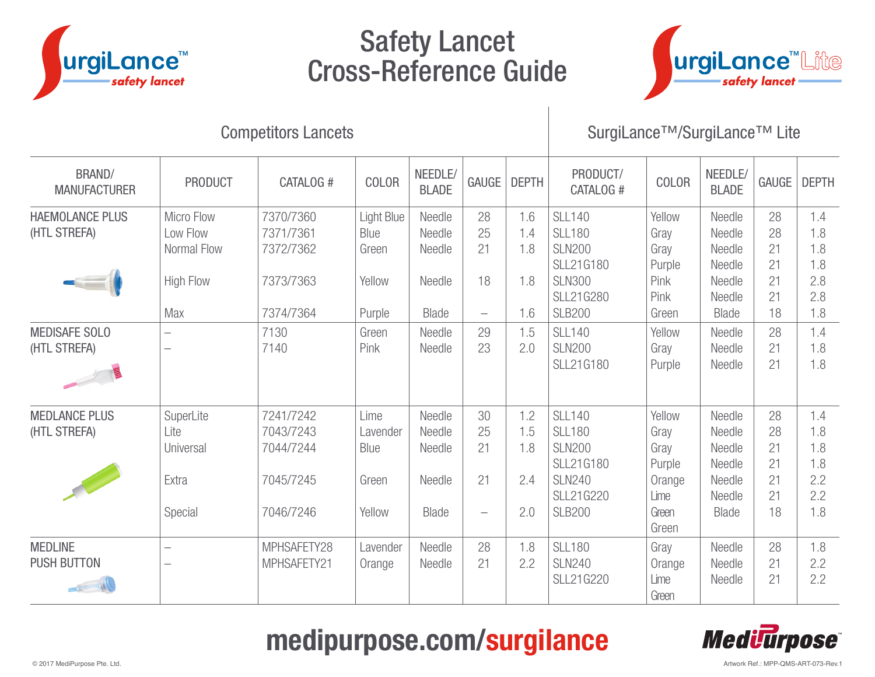

## **Safety Lancet Safety Lancet**<br>
Tross-Reference Guide Cross-Reference Guide



Competitors Lancets **Competitors** Lancets SurgiLance™/SurgiLance™ Lite

| BRAND/<br><b>MANUFACTURER</b> | <b>PRODUCT</b>           | CATALOG#    | <b>COLOR</b> | NEEDLE/<br><b>BLADE</b> | <b>GAUGE</b>      | <b>DEPTH</b> | PRODUCT/<br>CATALOG # | <b>COLOR</b>   | NEEDLE/<br><b>BLADE</b> | GAUGE | <b>DEPTH</b> |
|-------------------------------|--------------------------|-------------|--------------|-------------------------|-------------------|--------------|-----------------------|----------------|-------------------------|-------|--------------|
| <b>HAEMOLANCE PLUS</b>        | <b>Micro Flow</b>        | 7370/7360   | Light Blue   | Needle                  | 28                | 1.6          | <b>SLL140</b>         | Yellow         | Needle                  | 28    | 1.4          |
| (HTL STREFA)                  | Low Flow                 | 7371/7361   | Blue         | Needle                  | 25                | 1.4          | <b>SLL180</b>         | Gray           | Needle                  | 28    | 1.8          |
|                               | Normal Flow              | 7372/7362   | Green        | Needle                  | 21                | 1.8          | <b>SLN200</b>         | Gray           | Needle                  | 21    | 1.8          |
|                               |                          |             |              |                         |                   |              | SLL21G180             | Purple         | Needle                  | 21    | 1.8          |
|                               | <b>High Flow</b>         | 7373/7363   | Yellow       | Needle                  | 18                | 1.8          | <b>SLN300</b>         | Pink           | Needle                  | 21    | 2.8          |
|                               |                          |             |              |                         |                   |              | SLL21G280             | Pink           | Needle                  | 21    | 2.8          |
|                               | Max                      | 7374/7364   | Purple       | <b>Blade</b>            | $\qquad \qquad -$ | 1.6          | <b>SLB200</b>         | Green          | <b>Blade</b>            | 18    | 1.8          |
| MEDISAFE SOLO                 |                          | 7130        | Green        | Needle                  | 29                | 1.5          | <b>SLL140</b>         | Yellow         | Needle                  | 28    | 1.4          |
| (HTL STREFA)                  |                          | 7140        | Pink         | Needle                  | 23                | 2.0          | <b>SLN200</b>         | Gray           | Needle                  | 21    | 1.8          |
| E                             |                          |             |              |                         |                   |              | SLL21G180             | Purple         | Needle                  | 21    | 1.8          |
| <b>MEDLANCE PLUS</b>          | SuperLite                | 7241/7242   | Lime         | Needle                  | 30                | 1.2          | <b>SLL140</b>         | Yellow         | Needle                  | 28    | 1.4          |
| (HTL STREFA)                  | Lite                     | 7043/7243   | Lavender     | Needle                  | 25                | 1.5          | <b>SLL180</b>         | Gray           | Needle                  | 28    | 1.8          |
|                               | Universal                | 7044/7244   | Blue         | Needle                  | 21                | 1.8          | <b>SLN200</b>         | Gray           | Needle                  | 21    | 1.8          |
|                               |                          |             |              |                         |                   |              | SLL21G180             | Purple         | Needle                  | 21    | 1.8          |
|                               | Extra                    | 7045/7245   | Green        | Needle                  | 21                | 2.4          | <b>SLN240</b>         | Orange         | Needle                  | 21    | 2.2          |
|                               |                          |             |              |                         |                   |              | SLL21G220             | Lime           | Needle                  | 21    | 2.2          |
|                               | Special                  | 7046/7246   | Yellow       | <b>Blade</b>            | $\qquad \qquad -$ | 2.0          | <b>SLB200</b>         | Green<br>Green | <b>Blade</b>            | 18    | 1.8          |
| <b>MEDLINE</b>                | $\overline{\phantom{0}}$ | MPHSAFETY28 | Lavender     | Needle                  | 28                | 1.8          | <b>SLL180</b>         | Gray           | Needle                  | 28    | 1.8          |
| <b>PUSH BUTTON</b>            |                          | MPHSAFETY21 | Orange       | Needle                  | 21                | 2.2          | <b>SLN240</b>         | Orange         | Needle                  | 21    | 2.2          |
|                               |                          |             |              |                         |                   |              | SLL21G220             | Lime<br>Green  | Needle                  | 21    | 2.2          |

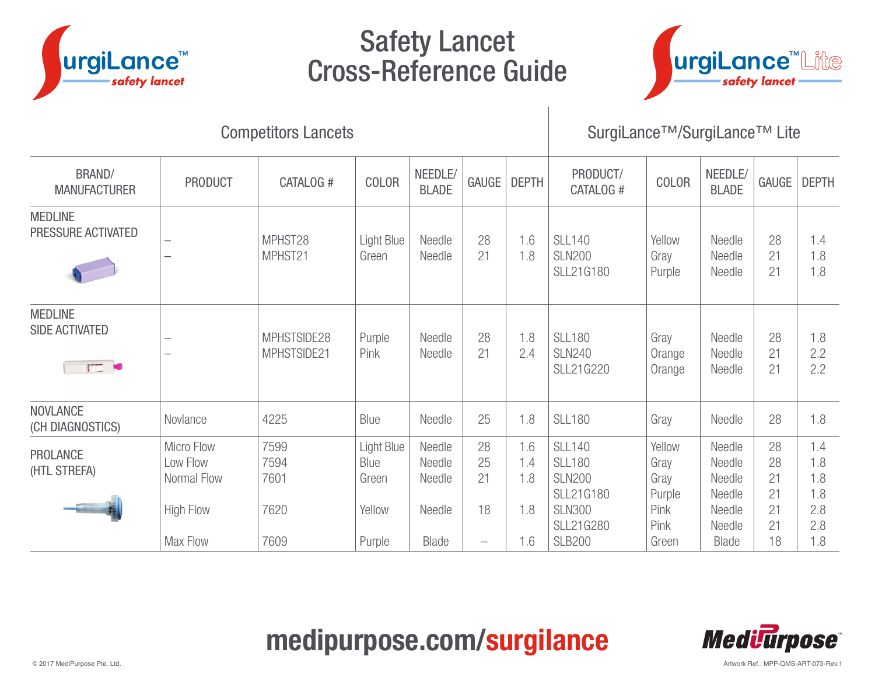

## **Safety Lancet Safety Lancet**<br>
Tross-Reference Guide Cross-Reference Guide



Competitors Lancets **Competitors** Lancets SurgiLance™/SurgiLance™ Lite

| BRAND/<br><b>MANUFACTURER</b>                          | <b>PRODUCT</b>                                                        | CATALOG #                            | COLOR                                                  | NEEDLE/<br><b>BLADE</b>                              | GAUGE                     | <b>DEPTH</b>                    | PRODUCT/<br>CATALOG #                                                                                       | <b>COLOR</b>                                              | NEEDLE/<br><b>BLADE</b>                                                  | GAUGE                                  | <b>DEPTH</b>                                  |
|--------------------------------------------------------|-----------------------------------------------------------------------|--------------------------------------|--------------------------------------------------------|------------------------------------------------------|---------------------------|---------------------------------|-------------------------------------------------------------------------------------------------------------|-----------------------------------------------------------|--------------------------------------------------------------------------|----------------------------------------|-----------------------------------------------|
| <b>MEDLINE</b><br>PRESSURE ACTIVATED                   | $\overline{\phantom{m}}$                                              | MPHST28<br>MPHST21                   | Light Blue<br>Green                                    | Needle<br>Needle                                     | 28<br>21                  | 1.6<br>1.8                      | <b>SLL140</b><br><b>SLN200</b><br>SLL21G180                                                                 | Yellow<br>Gray<br>Purple                                  | Needle<br>Needle<br>Needle                                               | 28<br>21<br>21                         | 1.4<br>1.8<br>1.8                             |
| <b>MEDLINE</b><br><b>SIDE ACTIVATED</b><br><b>TENO</b> | $\overline{\phantom{m}}$                                              | MPHSTSIDE28<br>MPHSTSIDE21           | Purple<br>Pink                                         | Needle<br>Needle                                     | 28<br>21                  | 1.8<br>2.4                      | <b>SLL180</b><br><b>SLN240</b><br>SLL21G220                                                                 | Gray<br>Orange<br>Orange                                  | Needle<br>Needle<br>Needle                                               | 28<br>21<br>21                         | 1.8<br>2.2<br>2.2                             |
| <b>NOVLANCE</b><br>(CH DIAGNOSTICS)                    | Novlance                                                              | 4225                                 | Blue                                                   | Needle                                               | 25                        | 1.8                             | <b>SLL180</b>                                                                                               | Gray                                                      | Needle                                                                   | 28                                     | 1.8                                           |
| PROLANCE<br>(HTL STREFA)                               | Micro Flow<br>Low Flow<br>Normal Flow<br><b>High Flow</b><br>Max Flow | 7599<br>7594<br>7601<br>7620<br>7609 | <b>Light Blue</b><br>Blue<br>Green<br>Yellow<br>Purple | Needle<br>Needle<br>Needle<br>Needle<br><b>Blade</b> | 28<br>25<br>21<br>18<br>— | 1.6<br>1.4<br>1.8<br>1.8<br>1.6 | <b>SLL140</b><br><b>SLL180</b><br><b>SLN200</b><br>SLL21G180<br><b>SLN300</b><br>SLL21G280<br><b>SLB200</b> | Yellow<br>Gray<br>Gray<br>Purple<br>Pink<br>Pink<br>Green | Needle<br>Needle<br>Needle<br>Needle<br>Needle<br>Needle<br><b>Blade</b> | 28<br>28<br>21<br>21<br>21<br>21<br>18 | 1.4<br>1.8<br>1.8<br>1.8<br>2.8<br>2.8<br>1.8 |